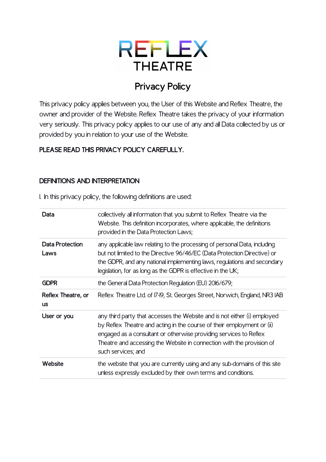# REFLEX **THEATRE**

# **Privacy Policy**

This privacy policy applies between you, the User of this Website and Reflex Theatre, the owner and provider of the Website. Reflex Theatre takes the privacy of your information very seriously. This privacy policy applies to our use of any and all Data collected by us or provided by you in relation to your use of the Website.

### **PLEASE READ THIS PRIVACY POLICY CAREFULLY.**

#### **DEFINITIONS AND INTERPRETATION**

1. In this privacy policy, the following definitions are used:

| Data                            | collectively all information that you submit to Reflex Theatre via the<br>Website. This definition incorporates, where applicable, the definitions<br>provided in the Data Protection Laws;                                                                                                                            |
|---------------------------------|------------------------------------------------------------------------------------------------------------------------------------------------------------------------------------------------------------------------------------------------------------------------------------------------------------------------|
| Data Protection<br>Laws         | any applicable law relating to the processing of personal Data, including<br>but not limited to the Directive 96/46/EC (Data Protection Directive) or<br>the GDPR, and any national implementing laws, regulations and secondary<br>legislation, for as long as the GDPR is effective in the UK;                       |
| <b>GDPR</b>                     | the General Data Protection Regulation (EU) 2016/679;                                                                                                                                                                                                                                                                  |
| Reflex Theatre, or<br><b>US</b> | Reflex Theatre Ltd. of 17-19, St. Georges Street, Norwich, England, NR3 IAB                                                                                                                                                                                                                                            |
| User or you                     | any third party that accesses the Website and is not either (i) employed<br>by Reflex Theatre and acting in the course of their employment or (ii)<br>engaged as a consultant or otherwise providing services to Reflex<br>Theatre and accessing the Website in connection with the provision of<br>such services; and |
| Website                         | the website that you are currently using and any sub-domains of this site<br>unless expressly excluded by their own terms and conditions.                                                                                                                                                                              |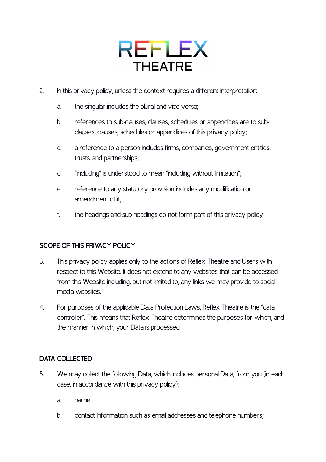# REFLEX **THEATRE**

- 2. In this privacy policy, unless the context requires a different interpretation:
	- a. the singular includes the plural and vice versa;
	- b. references to sub-clauses, clauses, schedules or appendices are to subclauses, clauses, schedules or appendices of this privacy policy;
	- c. a reference to a person includes firms, companies, government entities, trusts and partnerships;
	- d. "including" is understood to mean "including without limitation";
	- e. reference to any statutory provision includes any modification or amendment of it;
	- f. the headings and sub-headings do not form part of this privacy policy

### **SCOPE OF THIS PRIVACY POLICY**

- 3. This privacy policy applies only to the actions of Reflex Theatre and Users with respect to this Website. It does not extend to any websites that can be accessed from this Website including, but not limited to, any links we may provide to social media websites.
- 4. For purposes of the applicable Data Protection Laws, Reflex Theatre is the "data controller". This means that Reflex Theatre determines the purposes for which, and the manner in which, your Data is processed.

#### **DATA COLLECTED**

- 5. We may collect the following Data, which includes personal Data, from you (in each case, in accordance with this privacy policy):
	- a. name;
	- b. contact Information such as email addresses and telephone numbers;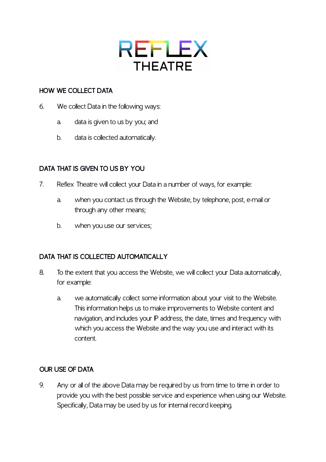

#### **HOW WE COLLECT DATA**

- 6. We collect Data in the following ways:
	- a. data is given to us by you; and
	- b. data is collected automatically.

### **DATA THAT IS GIVEN TO US BY YOU**

- 7. Reflex Theatre will collect your Data in a number of ways, for example:
	- a. when you contact us through the Website, by telephone, post, e-mail or through any other means;
	- b. when you use our services;

### **DATA THAT IS COLLECTED AUTOMATICALLY**

- 8. To the extent that you access the Website, we will collect your Data automatically, for example:
	- a. we automatically collect some information about your visit to the Website. This information helps us to make improvements to Website content and navigation, and includes your IP address, the date, times and frequency with which you access the Website and the way you use and interact with its content.

### **OUR USE OF DATA**

9. Any or all of the above Data may be required by us from time to time in order to provide you with the best possible service and experience when using our Website. Specifically, Data may be used by us for internal record keeping.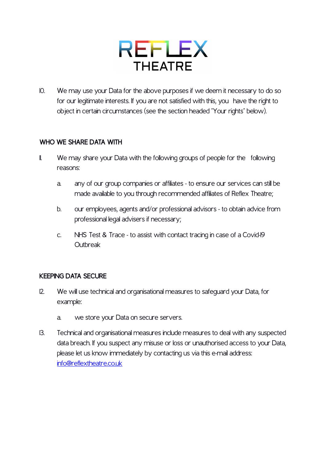

10. We may use your Data for the above purposes if we deem it necessary to do so for our legitimate interests. If you are not satisfied with this, you have the right to object in certain circumstances (see the section headed "Your rights" below).

#### **WHO WE SHARE DATA WITH**

- II. We may share your Data with the following groups of people for the following reasons:
	- a. any of our group companies or affiliates to ensure our services can still be made available to you through recommended affiliates of Reflex Theatre;
	- b. our employees, agents and/or professional advisors to obtain advice from professional legal advisers if necessary;
	- c. NHS Test & Trace to assist with contact tracing in case of a Covid-19 Outbreak

#### **KEEPING DATA SECURE**

- 12. We will use technical and organisational measures to safeguard your Data, for example:
	- a. we store your Data on secure servers.
- 13. Technical and organisational measures include measures to deal with any suspected data breach. If you suspect any misuse or loss or unauthorised access to your Data, please let us know immediately by contacting us via this e-mail address: [info@reflextheatre.co.uk](mailto:info@reflextheatre.co.uk)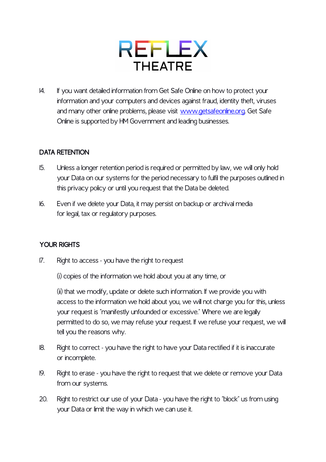

14. If you want detailed information from Get Safe Online on how to protect your information and your computers and devices against fraud, identity theft, viruses and many other online problems, please visit [www.getsafeonline.org.](http://www.getsafeonline.org) Get Safe Online is supported by HM Government and leading businesses.

#### **DATA RETENTION**

- 15. Unless a longer retention period is required or permitted by law, we will only hold your Data on our systems for the period necessary to fulfil the purposes outlined in this privacy policy or until you request that the Data be deleted.
- 16. Even if we delete your Data, it may persist on backup or archival media for legal, tax or regulatory purposes.

### **YOUR RIGHTS**

17. Right to access - you have the right to request

(i) copies of the information we hold about you at any time, or

(ii) that we modify, update or delete such information. If we provide you with access to the information we hold about you, we will not charge you for this, unless your request is "manifestly unfounded or excessive." Where we are legally permitted to do so, we may refuse your request. If we refuse your request, we will tell you the reasons why.

- 18. Right to correct you have the right to have your Data rectified if it is inaccurate or incomplete.
- 19. Right to erase you have the right to request that we delete or remove your Data from our systems.
- 20. Right to restrict our use of your Data you have the right to "block" us from using your Data or limit the way in which we can use it.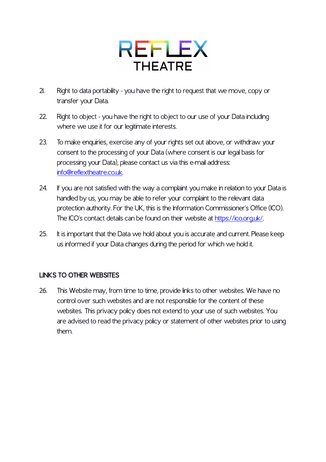# REFLEX **THEATRE**

- 21. Right to data portability you have the right to request that we move, copy or transfer your Data.
- 22. Right to object you have the right to object to our use of your Data including where we use it for our legitimate interests.
- 23. To make enquiries, exercise any of your rights set out above, or withdraw your consent to the processing of your Data (where consent is our legal basis for processing your Data), please contact us via this e-mail address: [info@reflextheatre.co.uk](mailto:info@reflextheatre.co.uk).
- 24. If you are not satisfied with the way a complaint you make in relation to your Data is handled by us, you may be able to refer your complaint to the relevant data protection authority. For the UK, this is the Information Commissioner's Office (ICO). The ICO's contact details can be found on their website at [https://ico.org.uk/.](https://ico.org.uk/)
- 25. It is important that the Data we hold about you is accurate and current. Please keep us informed if your Data changes during the period for which we hold it.

## **LINKS TO OTHER WEBSITES**

26. This Website may, from time to time, provide links to other websites. We have no control over such websites and are not responsible for the content of these websites. This privacy policy does not extend to your use of such websites. You are advised to read the privacy policy or statement of other websites prior to using them.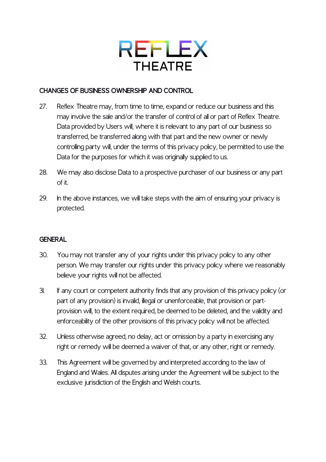

#### **CHANGES OF BUSINESS OWNERSHIP AND CONTROL**

- 27. Reflex Theatre may, from time to time, expand or reduce our business and this may involve the sale and/or the transfer of control of all or part of Reflex Theatre. Data provided by Users will, where it is relevant to any part of our business so transferred, be transferred along with that part and the new owner or newly controlling party will, under the terms of this privacy policy, be permitted to use the Data for the purposes for which it was originally supplied to us.
- 28. We may also disclose Data to a prospective purchaser of our business or any part of it.
- 29. In the above instances, we will take steps with the aim of ensuring your privacy is protected.

#### **GENERAL**

- 30. You may not transfer any of your rights under this privacy policy to any other person. We may transfer our rights under this privacy policy where we reasonably believe your rights will not be affected.
- 31. If any court or competent authority finds that any provision of this privacy policy (or part of any provision) is invalid, illegal or unenforceable, that provision or partprovision will, to the extent required, be deemed to be deleted, and the validity and enforceability of the other provisions of this privacy policy will not be affected.
- 32. Unless otherwise agreed, no delay, act or omission by a party in exercising any right or remedy will be deemed a waiver of that, or any other, right or remedy.
- 33. This Agreement will be governed by and interpreted according to the law of England and Wales. All disputes arising under the Agreement will be subject to the exclusive jurisdiction of the English and Welsh courts.